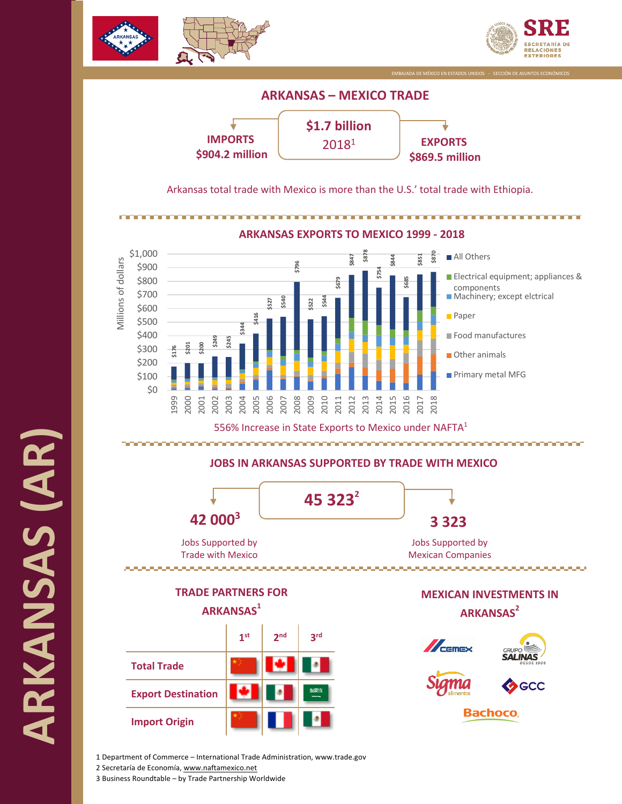





Arkansas total trade with Mexico is more than the U.S.' total trade with Ethiopia.



1 Department of Commerce – International Trade Administration, www.trade.gov 2 Secretaría de Economía, www.naftamexico.net

3 Business Roundtable – by Trade Partnership Worldwide